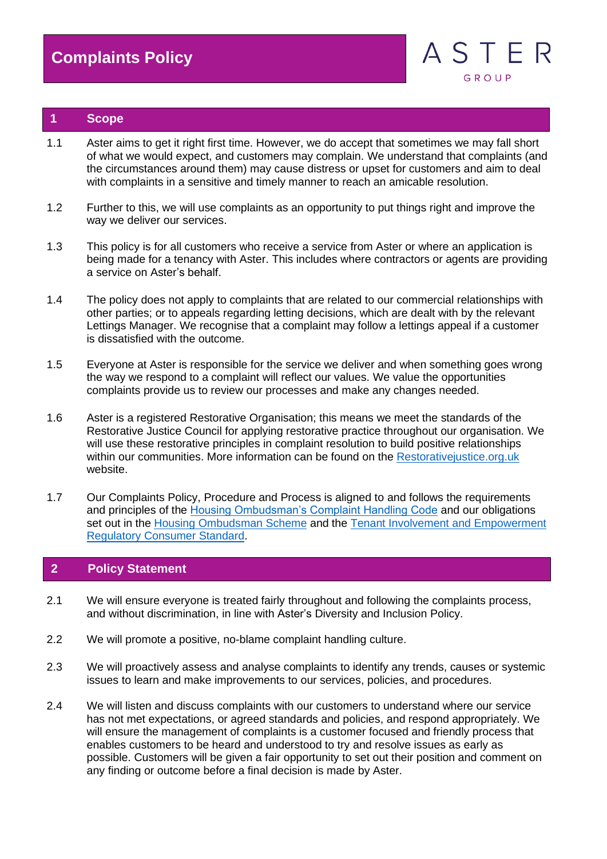

### **1 Scope**

- 1.1 Aster aims to get it right first time. However, we do accept that sometimes we may fall short of what we would expect, and customers may complain. We understand that complaints (and the circumstances around them) may cause distress or upset for customers and aim to deal with complaints in a sensitive and timely manner to reach an amicable resolution.
- 1.2 Further to this, we will use complaints as an opportunity to put things right and improve the way we deliver our services.
- 1.3 This policy is for all customers who receive a service from Aster or where an application is being made for a tenancy with Aster. This includes where contractors or agents are providing a service on Aster's behalf.
- 1.4 The policy does not apply to complaints that are related to our commercial relationships with other parties; or to appeals regarding letting decisions, which are dealt with by the relevant Lettings Manager. We recognise that a complaint may follow a lettings appeal if a customer is dissatisfied with the outcome.
- 1.5 Everyone at Aster is responsible for the service we deliver and when something goes wrong the way we respond to a complaint will reflect our values. We value the opportunities complaints provide us to review our processes and make any changes needed.
- 1.6 Aster is a registered Restorative Organisation; this means we meet the standards of the Restorative Justice Council for applying restorative practice throughout our organisation. We will use these restorative principles in complaint resolution to build positive relationships within our communities. More information can be found on the Restorativejustice.org.uk website.
- 1.7 Our Complaints Policy, Procedure and Process is aligned to and follows the requirements and principles of the [Housing Ombudsman's Complaint Handling Code](https://lyng.org.uk/wp-content/uploads/2021/01/Complaint-Handling-Code-Dec-20.pdf) and our obligations set out in the [Housing Ombudsman Scheme](https://www.housing-ombudsman.org.uk/wp-content/uploads/2020/11/Housing-Ombudsman-Scheme-Sept-2020-edited-by-BM.pdf) and the Tenant Involvement and Empowerment [Regulatory Consumer Standard.](https://www.gov.uk/government/publications/tenant-involvement-and-empowerment-standard)

# **2 Policy Statement**

- 2.1 We will ensure everyone is treated fairly throughout and following the complaints process, and without discrimination, in line with Aster's Diversity and Inclusion Policy.
- 2.2 We will promote a positive, no-blame complaint handling culture.
- 2.3 We will proactively assess and analyse complaints to identify any trends, causes or systemic issues to learn and make improvements to our services, policies, and procedures.
- 2.4 We will listen and discuss complaints with our customers to understand where our service has not met expectations, or agreed standards and policies, and respond appropriately. We will ensure the management of complaints is a customer focused and friendly process that enables customers to be heard and understood to try and resolve issues as early as possible. Customers will be given a fair opportunity to set out their position and comment on any finding or outcome before a final decision is made by Aster.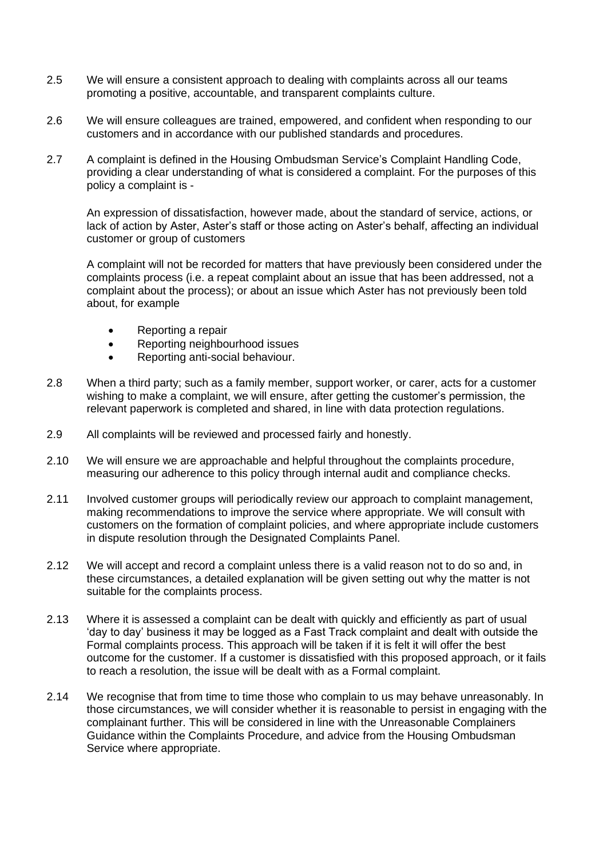- 2.5 We will ensure a consistent approach to dealing with complaints across all our teams promoting a positive, accountable, and transparent complaints culture.
- 2.6 We will ensure colleagues are trained, empowered, and confident when responding to our customers and in accordance with our published standards and procedures.
- 2.7 A complaint is defined in the Housing Ombudsman Service's Complaint Handling Code, providing a clear understanding of what is considered a complaint. For the purposes of this policy a complaint is -

An expression of dissatisfaction, however made, about the standard of service, actions, or lack of action by Aster, Aster's staff or those acting on Aster's behalf, affecting an individual customer or group of customers

A complaint will not be recorded for matters that have previously been considered under the complaints process (i.e. a repeat complaint about an issue that has been addressed, not a complaint about the process); or about an issue which Aster has not previously been told about, for example

- Reporting a repair
- Reporting neighbourhood issues
- Reporting anti-social behaviour.
- 2.8 When a third party; such as a family member, support worker, or carer, acts for a customer wishing to make a complaint, we will ensure, after getting the customer's permission, the relevant paperwork is completed and shared, in line with data protection regulations.
- 2.9 All complaints will be reviewed and processed fairly and honestly.
- 2.10 We will ensure we are approachable and helpful throughout the complaints procedure, measuring our adherence to this policy through internal audit and compliance checks.
- 2.11 Involved customer groups will periodically review our approach to complaint management, making recommendations to improve the service where appropriate. We will consult with customers on the formation of complaint policies, and where appropriate include customers in dispute resolution through the Designated Complaints Panel.
- 2.12 We will accept and record a complaint unless there is a valid reason not to do so and, in these circumstances, a detailed explanation will be given setting out why the matter is not suitable for the complaints process.
- 2.13 Where it is assessed a complaint can be dealt with quickly and efficiently as part of usual 'day to day' business it may be logged as a Fast Track complaint and dealt with outside the Formal complaints process. This approach will be taken if it is felt it will offer the best outcome for the customer. If a customer is dissatisfied with this proposed approach, or it fails to reach a resolution, the issue will be dealt with as a Formal complaint.
- 2.14 We recognise that from time to time those who complain to us may behave unreasonably. In those circumstances, we will consider whether it is reasonable to persist in engaging with the complainant further. This will be considered in line with the Unreasonable Complainers Guidance within the Complaints Procedure, and advice from the Housing Ombudsman Service where appropriate.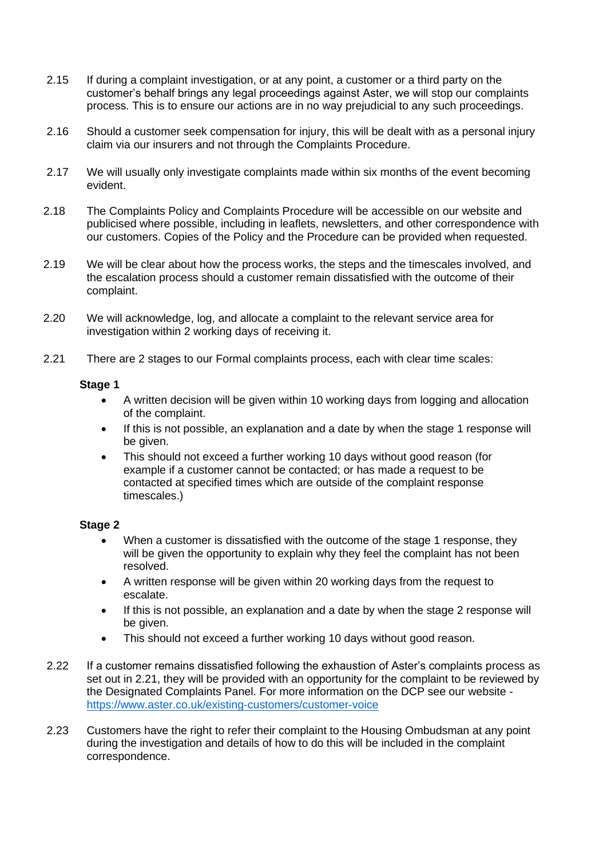- 2.15 If during a complaint investigation, or at any point, a customer or a third party on the customer's behalf brings any legal proceedings against Aster, we will stop our complaints process. This is to ensure our actions are in no way prejudicial to any such proceedings.
- 2.16 Should a customer seek compensation for injury, this will be dealt with as a personal injury claim via our insurers and not through the Complaints Procedure.
- 2.17 We will usually only investigate complaints made within six months of the event becoming evident.
- 2.18 The Complaints Policy and Complaints Procedure will be accessible on our website and publicised where possible, including in leaflets, newsletters, and other correspondence with our customers. Copies of the Policy and the Procedure can be provided when requested.
- 2.19 We will be clear about how the process works, the steps and the timescales involved, and the escalation process should a customer remain dissatisfied with the outcome of their complaint.
- 2.20 We will acknowledge, log, and allocate a complaint to the relevant service area for investigation within 2 working days of receiving it.
- 2.21 There are 2 stages to our Formal complaints process, each with clear time scales:

#### **Stage 1**

- A written decision will be given within 10 working days from logging and allocation of the complaint.
- If this is not possible, an explanation and a date by when the stage 1 response will be given.
- This should not exceed a further working 10 days without good reason (for example if a customer cannot be contacted; or has made a request to be contacted at specified times which are outside of the complaint response timescales.)

### **Stage 2**

- When a customer is dissatisfied with the outcome of the stage 1 response, they will be given the opportunity to explain why they feel the complaint has not been resolved.
- A written response will be given within 20 working days from the request to escalate.
- If this is not possible, an explanation and a date by when the stage 2 response will be given.
- This should not exceed a further working 10 days without good reason.
- 2.22 If a customer remains dissatisfied following the exhaustion of Aster's complaints process as set out in 2.21, they will be provided with an opportunity for the complaint to be reviewed by the Designated Complaints Panel. For more information on the DCP see our website <https://www.aster.co.uk/existing-customers/customer-voice>
- 2.23 Customers have the right to refer their complaint to the Housing Ombudsman at any point during the investigation and details of how to do this will be included in the complaint correspondence.